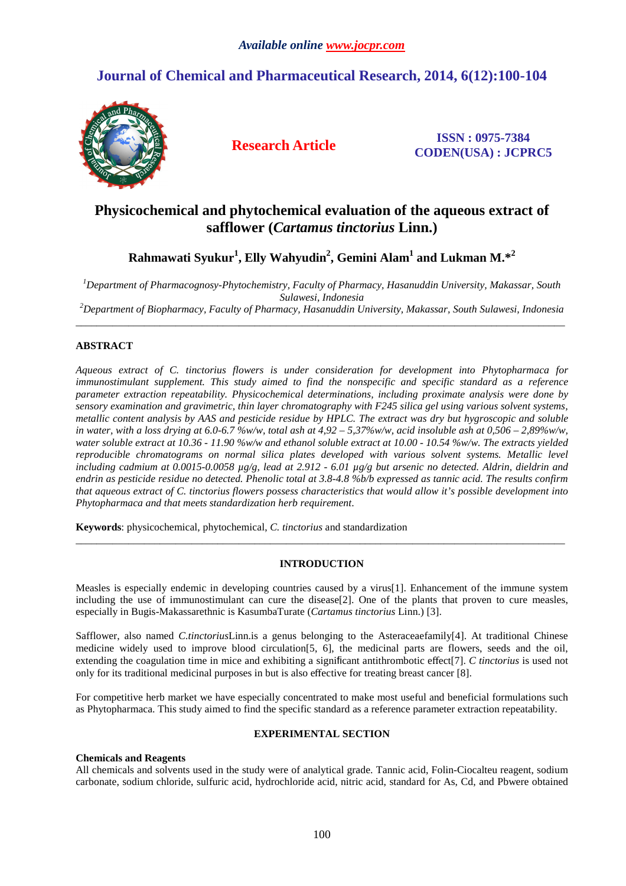# **Journal of Chemical and Pharmaceutical Research, 2014, 6(12):100-104**



**Research Article ISSN : 0975-7384 CODEN(USA) : JCPRC5**

# **Physicochemical and phytochemical evaluation of the aqueous extract of safflower (***Cartamus tinctorius* **Linn.)**

**Rahmawati Syukur<sup>1</sup> , Elly Wahyudin<sup>2</sup> , Gemini Alam<sup>1</sup> and Lukman M.\*<sup>2</sup>**

*<sup>1</sup>Department of Pharmacognosy-Phytochemistry, Faculty of Pharmacy, Hasanuddin University, Makassar, South Sulawesi, Indonesia* 

*<sup>2</sup>Department of Biopharmacy, Faculty of Pharmacy, Hasanuddin University, Makassar, South Sulawesi, Indonesia*  \_\_\_\_\_\_\_\_\_\_\_\_\_\_\_\_\_\_\_\_\_\_\_\_\_\_\_\_\_\_\_\_\_\_\_\_\_\_\_\_\_\_\_\_\_\_\_\_\_\_\_\_\_\_\_\_\_\_\_\_\_\_\_\_\_\_\_\_\_\_\_\_\_\_\_\_\_\_\_\_\_\_\_\_\_\_\_\_\_\_\_\_\_

## **ABSTRACT**

*Aqueous extract of C. tinctorius flowers is under consideration for development into Phytopharmaca for immunostimulant supplement. This study aimed to find the nonspecific and specific standard as a reference parameter extraction repeatability. Physicochemical determinations, including proximate analysis were done by sensory examination and gravimetric, thin layer chromatography with F245 silica gel using various solvent systems, metallic content analysis by AAS and pesticide residue by HPLC. The extract was dry but hygroscopic and soluble in water, with a loss drying at 6.0-6.7 %w/w, total ash at 4,92 – 5,37%w/w, acid insoluble ash at 0,506 – 2,89%w/w, water soluble extract at 10.36 - 11.90 %w/w and ethanol soluble extract at 10.00 - 10.54 %w/w. The extracts yielded reproducible chromatograms on normal silica plates developed with various solvent systems. Metallic level including cadmium at 0.0015-0.0058 µg/g, lead at 2.912 - 6.01 µg/g but arsenic no detected. Aldrin, dieldrin and endrin as pesticide residue no detected. Phenolic total at 3.8-4.8 %b/b expressed as tannic acid. The results confirm that aqueous extract of C. tinctorius flowers possess characteristics that would allow it's possible development into Phytopharmaca and that meets standardization herb requirement*.

**Keywords**: physicochemical, phytochemical, *C. tinctorius* and standardization

## **INTRODUCTION**

\_\_\_\_\_\_\_\_\_\_\_\_\_\_\_\_\_\_\_\_\_\_\_\_\_\_\_\_\_\_\_\_\_\_\_\_\_\_\_\_\_\_\_\_\_\_\_\_\_\_\_\_\_\_\_\_\_\_\_\_\_\_\_\_\_\_\_\_\_\_\_\_\_\_\_\_\_\_\_\_\_\_\_\_\_\_\_\_\_\_\_\_\_

Measles is especially endemic in developing countries caused by a virus[1]. Enhancement of the immune system including the use of immunostimulant can cure the disease[2]. One of the plants that proven to cure measles, especially in Bugis-Makassarethnic is KasumbaTurate (*Cartamus tinctorius* Linn.) [3].

Safflower, also named *C.tinctorius*Linn.is a genus belonging to the Asteraceaefamily[4]. At traditional Chinese medicine widely used to improve blood circulation[5, 6], the medicinal parts are flowers, seeds and the oil, extending the coagulation time in mice and exhibiting a significant antithrombotic effect[7]. *C tinctorius* is used not only for its traditional medicinal purposes in but is also effective for treating breast cancer [8].

For competitive herb market we have especially concentrated to make most useful and beneficial formulations such as Phytopharmaca. This study aimed to find the specific standard as a reference parameter extraction repeatability.

## **EXPERIMENTAL SECTION**

## **Chemicals and Reagents**

All chemicals and solvents used in the study were of analytical grade. Tannic acid, Folin-Ciocalteu reagent, sodium carbonate, sodium chloride, sulfuric acid, hydrochloride acid, nitric acid, standard for As, Cd, and Pbwere obtained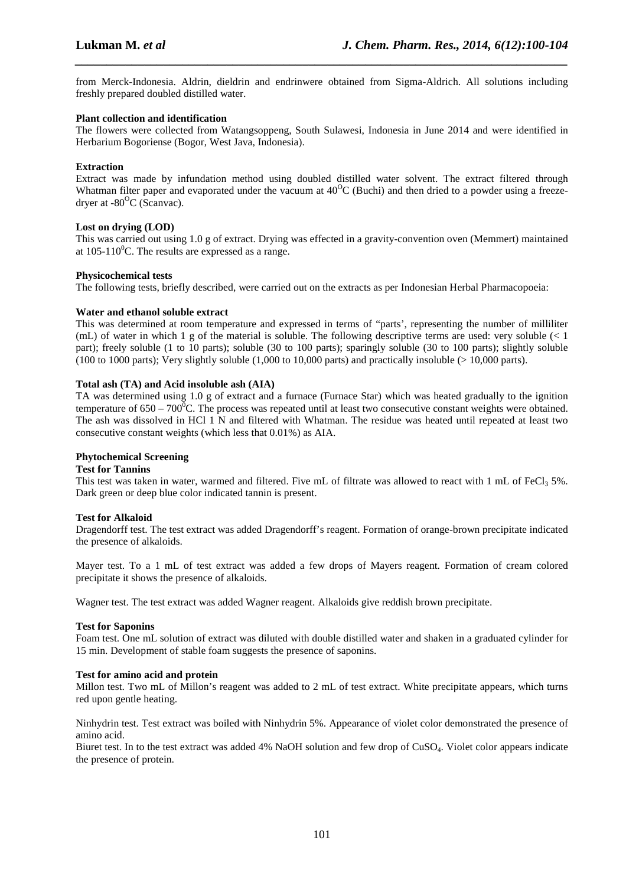from Merck-Indonesia. Aldrin, dieldrin and endrinwere obtained from Sigma-Aldrich. All solutions including freshly prepared doubled distilled water.

*\_\_\_\_\_\_\_\_\_\_\_\_\_\_\_\_\_\_\_\_\_\_\_\_\_\_\_\_\_\_\_\_\_\_\_\_\_\_\_\_\_\_\_\_\_\_\_\_\_\_\_\_\_\_\_\_\_\_\_\_\_\_\_\_\_\_\_\_\_\_\_\_\_\_\_\_\_\_*

## **Plant collection and identification**

The flowers were collected from Watangsoppeng, South Sulawesi, Indonesia in June 2014 and were identified in Herbarium Bogoriense (Bogor, West Java, Indonesia).

## **Extraction**

Extract was made by infundation method using doubled distilled water solvent. The extract filtered through Whatman filter paper and evaporated under the vacuum at  $40^{\circ}$ C (Buchi) and then dried to a powder using a freezedryer at  $-80^{\circ}$ C (Scanvac).

## **Lost on drying (LOD)**

This was carried out using 1.0 g of extract. Drying was effected in a gravity-convention oven (Memmert) maintained at  $105-110^0$ C. The results are expressed as a range.

#### **Physicochemical tests**

The following tests, briefly described, were carried out on the extracts as per Indonesian Herbal Pharmacopoeia:

## **Water and ethanol soluble extract**

This was determined at room temperature and expressed in terms of "parts', representing the number of milliliter (mL) of water in which 1 g of the material is soluble. The following descriptive terms are used: very soluble (< 1 part); freely soluble (1 to 10 parts); soluble (30 to 100 parts); sparingly soluble (30 to 100 parts); slightly soluble (100 to 1000 parts); Very slightly soluble (1,000 to 10,000 parts) and practically insoluble ( $> 10,000$  parts).

## **Total ash (TA) and Acid insoluble ash (AIA)**

TA was determined using 1.0 g of extract and a furnace (Furnace Star) which was heated gradually to the ignition temperature of  $650 - 700^{\circ}$ C. The process was repeated until at least two consecutive constant weights were obtained. The ash was dissolved in HCl 1 N and filtered with Whatman. The residue was heated until repeated at least two consecutive constant weights (which less that 0.01%) as AIA.

## **Phytochemical Screening**

#### **Test for Tannins**

This test was taken in water, warmed and filtered. Five mL of filtrate was allowed to react with 1 mL of FeCl<sub>3</sub> 5%. Dark green or deep blue color indicated tannin is present.

#### **Test for Alkaloid**

Dragendorff test. The test extract was added Dragendorff's reagent. Formation of orange-brown precipitate indicated the presence of alkaloids.

Mayer test. To a 1 mL of test extract was added a few drops of Mayers reagent. Formation of cream colored precipitate it shows the presence of alkaloids.

Wagner test. The test extract was added Wagner reagent. Alkaloids give reddish brown precipitate.

#### **Test for Saponins**

Foam test. One mL solution of extract was diluted with double distilled water and shaken in a graduated cylinder for 15 min. Development of stable foam suggests the presence of saponins.

#### **Test for amino acid and protein**

Millon test. Two mL of Millon's reagent was added to 2 mL of test extract. White precipitate appears, which turns red upon gentle heating.

Ninhydrin test. Test extract was boiled with Ninhydrin 5%. Appearance of violet color demonstrated the presence of amino acid.

Biuret test. In to the test extract was added 4% NaOH solution and few drop of CuSO4. Violet color appears indicate the presence of protein.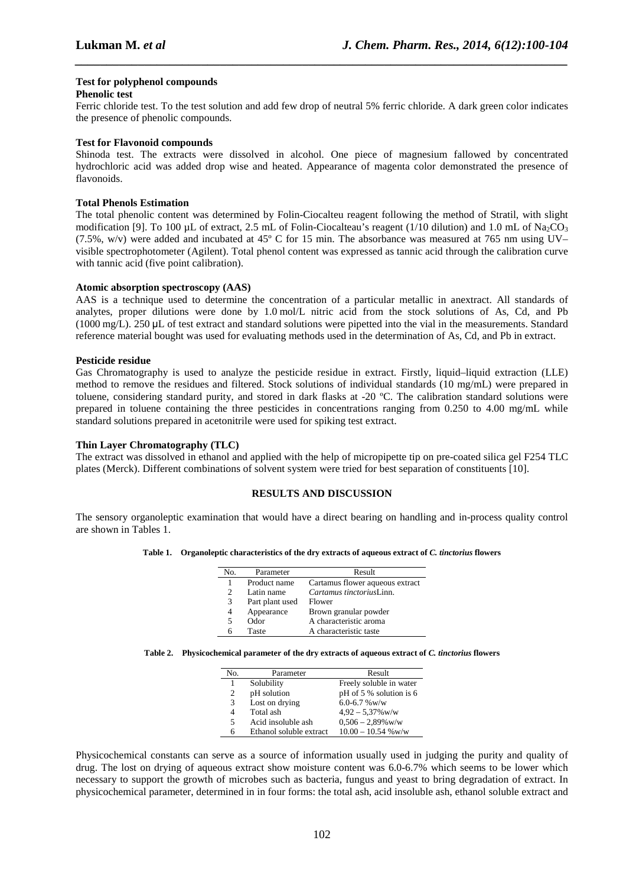## **Test for polyphenol compounds**

#### **Phenolic test**

Ferric chloride test. To the test solution and add few drop of neutral 5% ferric chloride. A dark green color indicates the presence of phenolic compounds.

*\_\_\_\_\_\_\_\_\_\_\_\_\_\_\_\_\_\_\_\_\_\_\_\_\_\_\_\_\_\_\_\_\_\_\_\_\_\_\_\_\_\_\_\_\_\_\_\_\_\_\_\_\_\_\_\_\_\_\_\_\_\_\_\_\_\_\_\_\_\_\_\_\_\_\_\_\_\_*

## **Test for Flavonoid compounds**

Shinoda test. The extracts were dissolved in alcohol. One piece of magnesium fallowed by concentrated hydrochloric acid was added drop wise and heated. Appearance of magenta color demonstrated the presence of flavonoids.

## **Total Phenols Estimation**

The total phenolic content was determined by Folin-Ciocalteu reagent following the method of Stratil, with slight modification [9]. To 100 µL of extract, 2.5 mL of Folin-Ciocalteau's reagent (1/10 dilution) and 1.0 mL of Na<sub>2</sub>CO<sub>3</sub> (7.5%, w/v) were added and incubated at 45º C for 15 min. The absorbance was measured at 765 nm using UV– visible spectrophotometer (Agilent). Total phenol content was expressed as tannic acid through the calibration curve with tannic acid (five point calibration).

#### **Atomic absorption spectroscopy (AAS)**

AAS is a technique used to determine the concentration of a particular metallic in anextract. All standards of analytes, proper dilutions were done by 1.0 mol/L nitric acid from the stock solutions of As, Cd, and Pb (1000 mg/L). 250 µL of test extract and standard solutions were pipetted into the vial in the measurements. Standard reference material bought was used for evaluating methods used in the determination of As, Cd, and Pb in extract.

## **Pesticide residue**

Gas Chromatography is used to analyze the pesticide residue in extract. Firstly, liquid–liquid extraction (LLE) method to remove the residues and filtered. Stock solutions of individual standards (10 mg/mL) were prepared in toluene, considering standard purity, and stored in dark flasks at -20 ºC. The calibration standard solutions were prepared in toluene containing the three pesticides in concentrations ranging from 0.250 to 4.00 mg/mL while standard solutions prepared in acetonitrile were used for spiking test extract.

#### **Thin Layer Chromatography (TLC)**

The extract was dissolved in ethanol and applied with the help of micropipette tip on pre-coated silica gel F254 TLC plates (Merck). Different combinations of solvent system were tried for best separation of constituents [10].

## **RESULTS AND DISCUSSION**

The sensory organoleptic examination that would have a direct bearing on handling and in-process quality control are shown in Tables 1.

|  | Table 1. Organoleptic characteristics of the dry extracts of aqueous extract of C. tinctorius flowers |
|--|-------------------------------------------------------------------------------------------------------|
|--|-------------------------------------------------------------------------------------------------------|

| No.                         | Parameter       | Result                          |
|-----------------------------|-----------------|---------------------------------|
|                             | Product name    | Cartamus flower aqueous extract |
| $\mathcal{D}_{\mathcal{L}}$ | Latin name      | Cartamus tinctoriusLinn.        |
| 3                           | Part plant used | Flower                          |
| 4                           | Appearance      | Brown granular powder           |
| 5                           | Odor            | A characteristic aroma          |
| h                           | Taste           | A characteristic taste          |

|  |  |  |  |  |  | Table 2. Physicochemical parameter of the dry extracts of aqueous extract of <i>C. tinctorius</i> flowers |  |
|--|--|--|--|--|--|-----------------------------------------------------------------------------------------------------------|--|
|--|--|--|--|--|--|-----------------------------------------------------------------------------------------------------------|--|

| No. | Parameter               | Result                  |
|-----|-------------------------|-------------------------|
| 1   | Solubility              | Freely soluble in water |
| 2   | pH solution             | pH of 5 % solution is 6 |
| 3   | Lost on drying          | $6.0 - 6.7$ % w/w       |
| 4   | Total ash               | $4.92 - 5.37\%$ w/w     |
| 5   | Acid insoluble ash      | $0,506 - 2,89\%$ w/w    |
| 6   | Ethanol soluble extract | $10.00 - 10.54$ % w/w   |

Physicochemical constants can serve as a source of information usually used in judging the purity and quality of drug. The lost on drying of aqueous extract show moisture content was 6.0-6.7% which seems to be lower which necessary to support the growth of microbes such as bacteria, fungus and yeast to bring degradation of extract. In physicochemical parameter, determined in in four forms: the total ash, acid insoluble ash, ethanol soluble extract and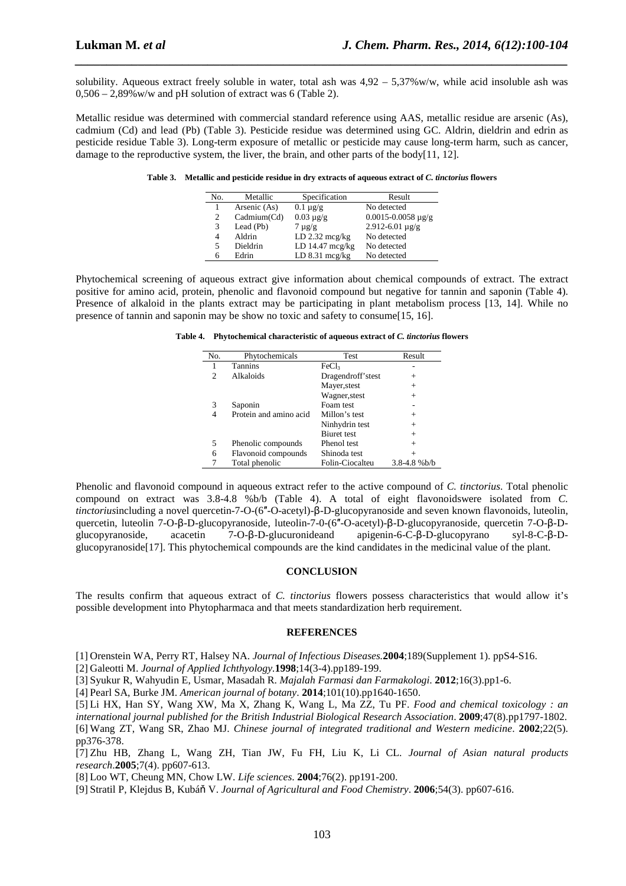solubility. Aqueous extract freely soluble in water, total ash was  $4.92 - 5.37\%$  w/w, while acid insoluble ash was 0,506 – 2,89%w/w and pH solution of extract was 6 (Table 2).

*\_\_\_\_\_\_\_\_\_\_\_\_\_\_\_\_\_\_\_\_\_\_\_\_\_\_\_\_\_\_\_\_\_\_\_\_\_\_\_\_\_\_\_\_\_\_\_\_\_\_\_\_\_\_\_\_\_\_\_\_\_\_\_\_\_\_\_\_\_\_\_\_\_\_\_\_\_\_*

Metallic residue was determined with commercial standard reference using AAS, metallic residue are arsenic (As), cadmium (Cd) and lead (Pb) (Table 3). Pesticide residue was determined using GC. Aldrin, dieldrin and edrin as pesticide residue Table 3). Long-term exposure of metallic or pesticide may cause long-term harm, such as cancer, damage to the reproductive system, the liver, the brain, and other parts of the body $[11, 12]$ .

**Table 3. Metallic and pesticide residue in dry extracts of aqueous extract of** *C. tinctorius* **flowers** 

| No. | Metallic     | Specification             | Result                         |
|-----|--------------|---------------------------|--------------------------------|
|     | Arsenic (As) | $0.1 \mu g/g$             | No detected                    |
| 2   | Cadmium(Cd)  | $0.03 \mu g/g$            | $0.0015 - 0.0058 \text{ µg/g}$ |
| 3   | Lead (Pb)    | $7 \mu g/g$               | $2.912 - 6.01 \,\mu g/g$       |
| 4   | Aldrin       | LD $2.32 \text{ mcg/kg}$  | No detected                    |
| 5.  | Dieldrin     | LD $14.47 \text{~mcg/kg}$ | No detected                    |
| 6   | Edrin        | $LD 8.31$ mcg/kg          | No detected                    |

Phytochemical screening of aqueous extract give information about chemical compounds of extract. The extract positive for amino acid, protein, phenolic and flavonoid compound but negative for tannin and saponin (Table 4). Presence of alkaloid in the plants extract may be participating in plant metabolism process [13, 14]. While no presence of tannin and saponin may be show no toxic and safety to consume[15, 16].

|  | Table 4. Phytochemical characteristic of aqueous extract of C. tinctorius flowers |
|--|-----------------------------------------------------------------------------------|
|--|-----------------------------------------------------------------------------------|

| No. | Phytochemicals         | Test               | Result           |
|-----|------------------------|--------------------|------------------|
|     | <b>Tannins</b>         | FeCl3              |                  |
| 2   | Alkaloids              | Dragendroff'stest  | $^{+}$           |
|     |                        | Mayer, stest       | $^{+}$           |
|     |                        | Wagner, stest      | $^{+}$           |
| 3   | Saponin                | Foam test          |                  |
| 4   | Protein and amino acid | Millon's test      | $^{+}$           |
|     |                        | Ninhydrin test     | $^{+}$           |
|     |                        | <b>Biuret</b> test | $^{+}$           |
| 5   | Phenolic compounds     | Phenol test        | $^{+}$           |
| 6   | Flavonoid compounds    | Shinoda test       | $\overline{+}$   |
|     | Total phenolic         | Folin-Ciocalteu    | $3.8 - 4.8 %b/b$ |

Phenolic and flavonoid compound in aqueous extract refer to the active compound of *C. tinctorius*. Total phenolic compound on extract was 3.8-4.8 %b/b (Table 4). A total of eight flavonoidswere isolated from *C. tinctorius*including a novel quercetin-7-O-(6″-O-acetyl)-β-D-glucopyranoside and seven known flavonoids, luteolin, quercetin, luteolin 7-O-β-D-glucopyranoside, luteolin-7-0-(6"-O-acetyl)-β-D-glucopyranoside, quercetin 7-O-β-D-<br>glucopyranoside, acacetin 7-O-β-D-glucuronideand apigenin-6-C-β-D-glucopyrano syl-8-C-β-Dglucopyranoside, acacetin 7-O-β-D-glucuronideand apigenin-6-C-β-D-glucopyrano syl-8-C-β-Dglucopyranoside[17]. This phytochemical compounds are the kind candidates in the medicinal value of the plant.

## **CONCLUSION**

The results confirm that aqueous extract of *C. tinctorius* flowers possess characteristics that would allow it's possible development into Phytopharmaca and that meets standardization herb requirement.

#### **REFERENCES**

[1] Orenstein WA, Perry RT, Halsey NA. *Journal of Infectious Diseases.***2004**;189(Supplement 1). ppS4-S16.

[2] Galeotti M. *Journal of Applied Ichthyology.***1998**;14(3-4).pp189-199.

[3] Syukur R, Wahyudin E, Usmar, Masadah R. *Majalah Farmasi dan Farmakologi*. **2012**;16(3).pp1-6.

[4] Pearl SA, Burke JM. *American journal of botany*. **2014**;101(10).pp1640-1650.

[5] Li HX, Han SY, Wang XW, Ma X, Zhang K, Wang L, Ma ZZ, Tu PF. *Food and chemical toxicology : an international journal published for the British Industrial Biological Research Association*. **2009**;47(8).pp1797-1802. [6] Wang ZT, Wang SR, Zhao MJ. *Chinese journal of integrated traditional and Western medicine*. **2002**;22(5). pp376-378.

[7] Zhu HB, Zhang L, Wang ZH, Tian JW, Fu FH, Liu K, Li CL. *Journal of Asian natural products research*.**2005**;7(4). pp607-613.

[8] Loo WT, Cheung MN, Chow LW. *Life sciences*. **2004**;76(2). pp191-200.

[9] Stratil P, Klejdus B, Kubáň V. *Journal of Agricultural and Food Chemistry*. **2006**;54(3). pp607-616.